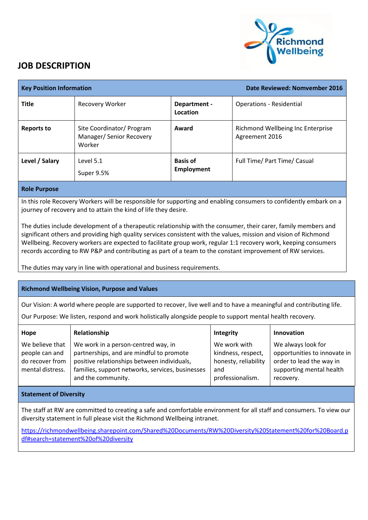

## **JOB DESCRIPTION**

| <b>Key Position Information</b> |                                                                 |                                      | Date Reviewed: Nomvember 2016                       |
|---------------------------------|-----------------------------------------------------------------|--------------------------------------|-----------------------------------------------------|
| <b>Title</b>                    | <b>Recovery Worker</b>                                          | Department -<br>Location             | <b>Operations - Residential</b>                     |
| <b>Reports to</b>               | Site Coordinator/ Program<br>Manager/ Senior Recovery<br>Worker | Award                                | Richmond Wellbeing Inc Enterprise<br>Agreement 2016 |
| Level / Salary                  | Level 5.1<br>Super 9.5%                                         | <b>Basis of</b><br><b>Employment</b> | Full Time/ Part Time/ Casual                        |
| Build Boundary                  |                                                                 |                                      |                                                     |

**Role Purpose**

In this role Recovery Workers will be responsible for supporting and enabling consumers to confidently embark on a journey of recovery and to attain the kind of life they desire.

The duties include development of a therapeutic relationship with the consumer, their carer, family members and significant others and providing high quality services consistent with the values, mission and vision of Richmond Wellbeing. Recovery workers are expected to facilitate group work, regular 1:1 recovery work, keeping consumers records according to RW P&P and contributing as part of a team to the constant improvement of RW services.

The duties may vary in line with operational and business requirements.

## **Richmond Wellbeing Vision, Purpose and Values**

Our Vision: A world where people are supported to recover, live well and to have a meaningful and contributing life.

Our Purpose: We listen, respond and work holistically alongside people to support mental health recovery.

| Hope                                                                     | Relationship                                                                                                                                                                                             | Integrity                                                                             | Innovation                                                                                                              |
|--------------------------------------------------------------------------|----------------------------------------------------------------------------------------------------------------------------------------------------------------------------------------------------------|---------------------------------------------------------------------------------------|-------------------------------------------------------------------------------------------------------------------------|
| We believe that<br>people can and<br>do recover from<br>mental distress. | We work in a person-centred way, in<br>partnerships, and are mindful to promote<br>positive relationships between individuals,<br>families, support networks, services, businesses<br>and the community. | We work with<br>kindness, respect,<br>honesty, reliability<br>and<br>professionalism. | We always look for<br>opportunities to innovate in<br>order to lead the way in<br>supporting mental health<br>recovery. |
|                                                                          |                                                                                                                                                                                                          |                                                                                       |                                                                                                                         |

## **Statement of Diversity**

The staff at RW are committed to creating a safe and comfortable environment for all staff and consumers. To view our diversity statement in full please visit the Richmond Wellbeing intranet.

[https://richmondwellbeing.sharepoint.com/Shared%20Documents/RW%20Diversity%20Statement%20for%20Board.p](https://richmondwellbeing.sharepoint.com/Shared%20Documents/RW%20Diversity%20Statement%20for%20Board.pdf#search=statement%20of%20diversity) [df#search=statement%20of%20diversity](https://richmondwellbeing.sharepoint.com/Shared%20Documents/RW%20Diversity%20Statement%20for%20Board.pdf#search=statement%20of%20diversity)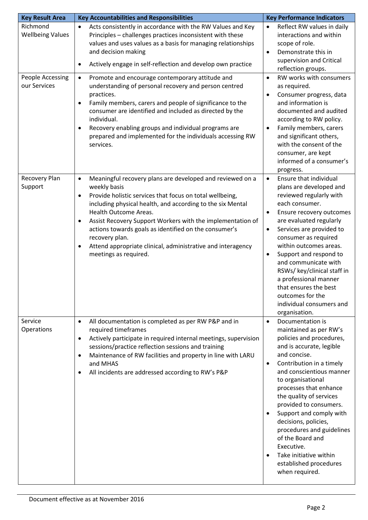| <b>Key Result Area</b>                                  | <b>Key Accountabilities and Responsibilities</b>                                                                                                                                                                                                                                                                                                                                                                                                                                                                  | <b>Key Performance Indicators</b>                                                                                                                                                                                                                                                                                                                                                                                                                                                                                          |  |
|---------------------------------------------------------|-------------------------------------------------------------------------------------------------------------------------------------------------------------------------------------------------------------------------------------------------------------------------------------------------------------------------------------------------------------------------------------------------------------------------------------------------------------------------------------------------------------------|----------------------------------------------------------------------------------------------------------------------------------------------------------------------------------------------------------------------------------------------------------------------------------------------------------------------------------------------------------------------------------------------------------------------------------------------------------------------------------------------------------------------------|--|
| Richmond<br><b>Wellbeing Values</b><br>People Accessing | Acts consistently in accordance with the RW Values and Key<br>$\bullet$<br>Principles - challenges practices inconsistent with these<br>values and uses values as a basis for managing relationships<br>and decision making<br>Actively engage in self-reflection and develop own practice<br>$\bullet$<br>Promote and encourage contemporary attitude and<br>$\bullet$                                                                                                                                           | Reflect RW values in daily<br>$\bullet$<br>interactions and within<br>scope of role.<br>Demonstrate this in<br>$\bullet$<br>supervision and Critical<br>reflection groups.<br>RW works with consumers<br>$\bullet$                                                                                                                                                                                                                                                                                                         |  |
| our Services                                            | understanding of personal recovery and person centred<br>practices.<br>Family members, carers and people of significance to the<br>$\bullet$<br>consumer are identified and included as directed by the<br>individual.<br>Recovery enabling groups and individual programs are<br>$\bullet$<br>prepared and implemented for the individuals accessing RW<br>services.                                                                                                                                             | as required.<br>Consumer progress, data<br>$\bullet$<br>and information is<br>documented and audited<br>according to RW policy.<br>Family members, carers<br>$\bullet$<br>and significant others,<br>with the consent of the<br>consumer, are kept<br>informed of a consumer's<br>progress.                                                                                                                                                                                                                                |  |
| Recovery Plan<br>Support                                | Meaningful recovery plans are developed and reviewed on a<br>$\bullet$<br>weekly basis<br>Provide holistic services that focus on total wellbeing,<br>$\bullet$<br>including physical health, and according to the six Mental<br>Health Outcome Areas.<br>Assist Recovery Support Workers with the implementation of<br>$\bullet$<br>actions towards goals as identified on the consumer's<br>recovery plan.<br>Attend appropriate clinical, administrative and interagency<br>$\bullet$<br>meetings as required. | Ensure that individual<br>$\bullet$<br>plans are developed and<br>reviewed regularly with<br>each consumer.<br>Ensure recovery outcomes<br>$\bullet$<br>are evaluated regularly<br>Services are provided to<br>$\bullet$<br>consumer as required<br>within outcomes areas.<br>Support and respond to<br>$\bullet$<br>and communicate with<br>RSWs/ key/clinical staff in<br>a professional manner<br>that ensures the best<br>outcomes for the<br>individual consumers and<br>organisation.                                |  |
| Service<br>Operations                                   | All documentation is completed as per RW P&P and in<br>$\bullet$<br>required timeframes<br>Actively participate in required internal meetings, supervision<br>$\bullet$<br>sessions/practice reflection sessions and training<br>Maintenance of RW facilities and property in line with LARU<br>$\bullet$<br>and MHAS<br>All incidents are addressed according to RW's P&P<br>$\bullet$                                                                                                                           | Documentation is<br>$\bullet$<br>maintained as per RW's<br>policies and procedures,<br>and is accurate, legible<br>and concise.<br>Contribution in a timely<br>$\bullet$<br>and conscientious manner<br>to organisational<br>processes that enhance<br>the quality of services<br>provided to consumers.<br>Support and comply with<br>$\bullet$<br>decisions, policies,<br>procedures and guidelines<br>of the Board and<br>Executive.<br>Take initiative within<br>$\bullet$<br>established procedures<br>when required. |  |